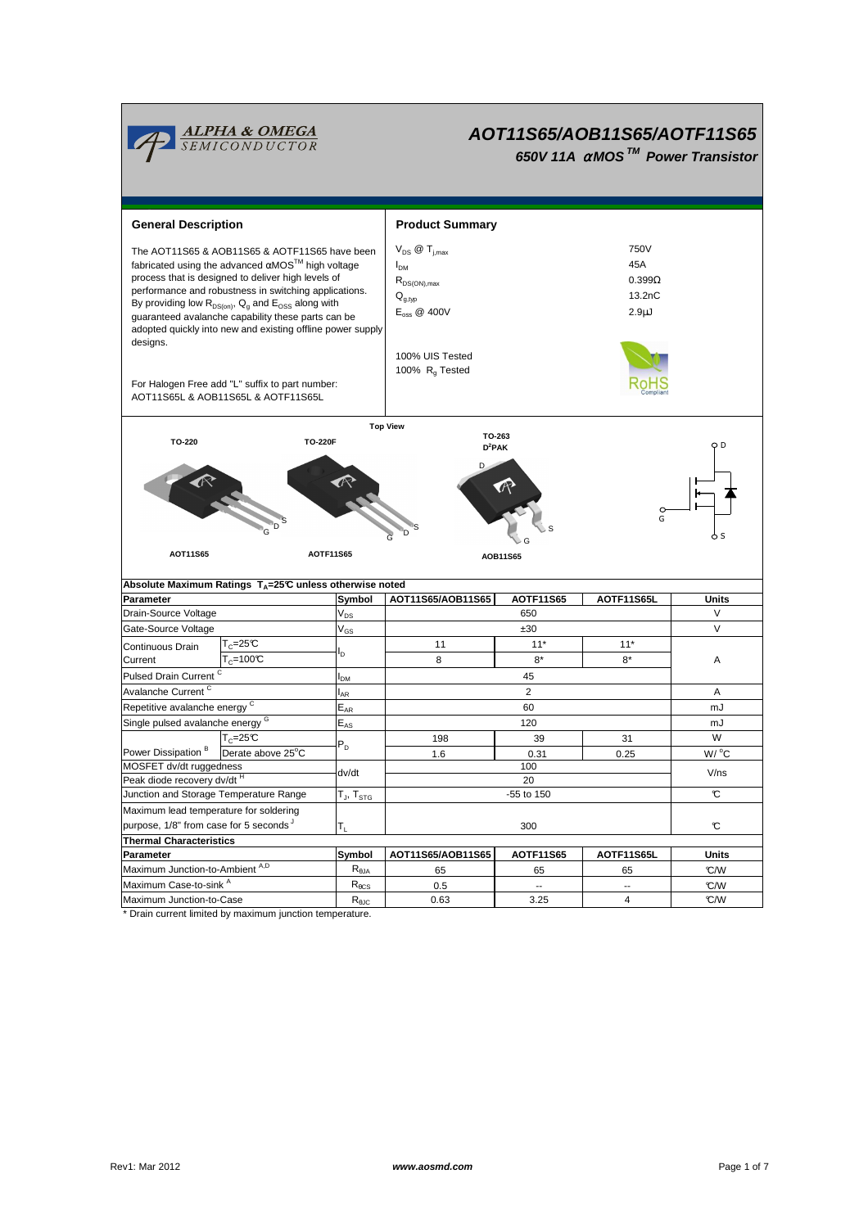

# **AOT11S65/AOB11S65/AOTF11S65**

**650V 11A** α**MOS TM Power Transistor**

| <b>General Description</b>                                                                                                                                                                                                                                                                                                                                                                                                  |                                                                                       |                                                      | <b>Product Summary</b>                                                                                                      |                   |                                                            |                 |  |  |  |  |
|-----------------------------------------------------------------------------------------------------------------------------------------------------------------------------------------------------------------------------------------------------------------------------------------------------------------------------------------------------------------------------------------------------------------------------|---------------------------------------------------------------------------------------|------------------------------------------------------|-----------------------------------------------------------------------------------------------------------------------------|-------------------|------------------------------------------------------------|-----------------|--|--|--|--|
| The AOT11S65 & AOB11S65 & AOTF11S65 have been<br>fabricated using the advanced $\alpha$ MOS <sup>TM</sup> high voltage<br>process that is designed to deliver high levels of<br>performance and robustness in switching applications.<br>By providing low $R_{DS(on)}$ , $Q_q$ and $E_{OSS}$ along with<br>quaranteed avalanche capability these parts can be<br>adopted quickly into new and existing offline power supply |                                                                                       |                                                      | $V_{DS}$ $\omega$ T <sub>i.max</sub><br>I <sub>DM</sub><br>$R_{DS(ON),max}$<br>$Q_{a,tvp}$<br>$E_{\text{oss}} \otimes 400V$ |                   | 750V<br>45A<br>$0.399\Omega$<br>13.2nC<br>2.9 <sub>µ</sub> |                 |  |  |  |  |
| designs.                                                                                                                                                                                                                                                                                                                                                                                                                    | For Halogen Free add "L" suffix to part number:<br>AOT11S65L & AOB11S65L & AOTF11S65L |                                                      | 100% UIS Tested<br>100% $R_{q}$ Tested                                                                                      |                   |                                                            |                 |  |  |  |  |
|                                                                                                                                                                                                                                                                                                                                                                                                                             |                                                                                       |                                                      | <b>Top View</b>                                                                                                             |                   |                                                            |                 |  |  |  |  |
| TO-263<br>TO-220<br><b>TO-220F</b><br>$D^2$ PAK<br>G                                                                                                                                                                                                                                                                                                                                                                        |                                                                                       |                                                      |                                                                                                                             |                   |                                                            | O D             |  |  |  |  |
| AOT11S65<br><b>AOTF11S65</b><br>AOB11S65                                                                                                                                                                                                                                                                                                                                                                                    |                                                                                       |                                                      |                                                                                                                             |                   |                                                            |                 |  |  |  |  |
|                                                                                                                                                                                                                                                                                                                                                                                                                             |                                                                                       |                                                      |                                                                                                                             |                   |                                                            |                 |  |  |  |  |
|                                                                                                                                                                                                                                                                                                                                                                                                                             | Absolute Maximum Ratings T <sub>A</sub> =25℃ unless otherwise noted                   |                                                      |                                                                                                                             |                   |                                                            |                 |  |  |  |  |
| Parameter                                                                                                                                                                                                                                                                                                                                                                                                                   |                                                                                       | Symbol                                               | AOT11S65/AOB11S65                                                                                                           | <b>AOTF11S65</b>  | AOTF11S65L                                                 | <b>Units</b>    |  |  |  |  |
| Drain-Source Voltage                                                                                                                                                                                                                                                                                                                                                                                                        |                                                                                       | $\mathsf{V}_{\mathsf{DS}}$                           |                                                                                                                             | 650               |                                                            | V               |  |  |  |  |
| Gate-Source Voltage                                                                                                                                                                                                                                                                                                                                                                                                         |                                                                                       | $\mathsf{V}_{\mathsf{GS}}$                           |                                                                                                                             | ±30               |                                                            | V               |  |  |  |  |
| Continuous Drain                                                                                                                                                                                                                                                                                                                                                                                                            | $T_c = 25C$                                                                           | ı,                                                   | 11                                                                                                                          | $11*$             | $11*$                                                      |                 |  |  |  |  |
| Current                                                                                                                                                                                                                                                                                                                                                                                                                     | $T_c = 100C$                                                                          |                                                      | 8                                                                                                                           | $8*$              | $R^*$                                                      | A               |  |  |  |  |
| Pulsed Drain Current <sup>C</sup>                                                                                                                                                                                                                                                                                                                                                                                           |                                                                                       | I <sub>DM</sub>                                      |                                                                                                                             | 45                |                                                            |                 |  |  |  |  |
| Avalanche Current <sup>C</sup>                                                                                                                                                                                                                                                                                                                                                                                              |                                                                                       | l <sub>ar</sub>                                      |                                                                                                                             | 2                 |                                                            | A               |  |  |  |  |
| Repetitive avalanche energy <sup>C</sup>                                                                                                                                                                                                                                                                                                                                                                                    |                                                                                       | $\mathsf{E}_{\mathsf{AR}}$                           |                                                                                                                             | 60                |                                                            | mJ              |  |  |  |  |
| Single pulsed avalanche energy <sup>G</sup>                                                                                                                                                                                                                                                                                                                                                                                 |                                                                                       | $\mathsf{E}_{\mathsf{AS}}$                           |                                                                                                                             | 120               |                                                            | mJ              |  |  |  |  |
| Power Dissipation <sup>B</sup>                                                                                                                                                                                                                                                                                                                                                                                              | $T_c = 25C$                                                                           | $P_D$                                                | 198                                                                                                                         | 39                | 31                                                         | W               |  |  |  |  |
| MOSFET dv/dt ruggedness                                                                                                                                                                                                                                                                                                                                                                                                     | Derate above 25°C                                                                     |                                                      | 1.6                                                                                                                         | 0.31<br>100       | 0.25                                                       | $W/{}^{\circ}C$ |  |  |  |  |
| Peak diode recovery dv/dt <sup>H</sup>                                                                                                                                                                                                                                                                                                                                                                                      |                                                                                       | dv/dt                                                |                                                                                                                             | 20                |                                                            | V/ns            |  |  |  |  |
| Junction and Storage Temperature Range                                                                                                                                                                                                                                                                                                                                                                                      |                                                                                       | $\mathsf{T}_{\mathsf{J}}, \mathsf{T}_{\mathsf{STG}}$ |                                                                                                                             | -55 to 150        |                                                            | C               |  |  |  |  |
| Maximum lead temperature for soldering                                                                                                                                                                                                                                                                                                                                                                                      |                                                                                       |                                                      |                                                                                                                             |                   |                                                            |                 |  |  |  |  |
| purpose, 1/8" from case for 5 seconds                                                                                                                                                                                                                                                                                                                                                                                       |                                                                                       | T <sub>L</sub>                                       |                                                                                                                             | 300               |                                                            | C               |  |  |  |  |
| <b>Thermal Characteristics</b>                                                                                                                                                                                                                                                                                                                                                                                              |                                                                                       |                                                      |                                                                                                                             |                   |                                                            |                 |  |  |  |  |
| Parameter                                                                                                                                                                                                                                                                                                                                                                                                                   |                                                                                       | Symbol                                               | AOT11S65/AOB11S65                                                                                                           | <b>AOTF11S65</b>  | AOTF11S65L                                                 | Units           |  |  |  |  |
| Maximum Junction-to-Ambient A,D                                                                                                                                                                                                                                                                                                                                                                                             |                                                                                       | $R_{\theta$ JA                                       | 65                                                                                                                          | 65                | 65                                                         | °C/W            |  |  |  |  |
| Maximum Case-to-sink A<br>Maximum Junction-to-Case                                                                                                                                                                                                                                                                                                                                                                          |                                                                                       | $\mathsf{R}_{\theta\text{CS}}$<br>$R_{0JC}$          | 0.5<br>0.63                                                                                                                 | $\ddotsc$<br>3.25 | $\overline{a}$<br>$\overline{4}$                           | °C/W<br>C/W     |  |  |  |  |

\* Drain current limited by maximum junction temperature.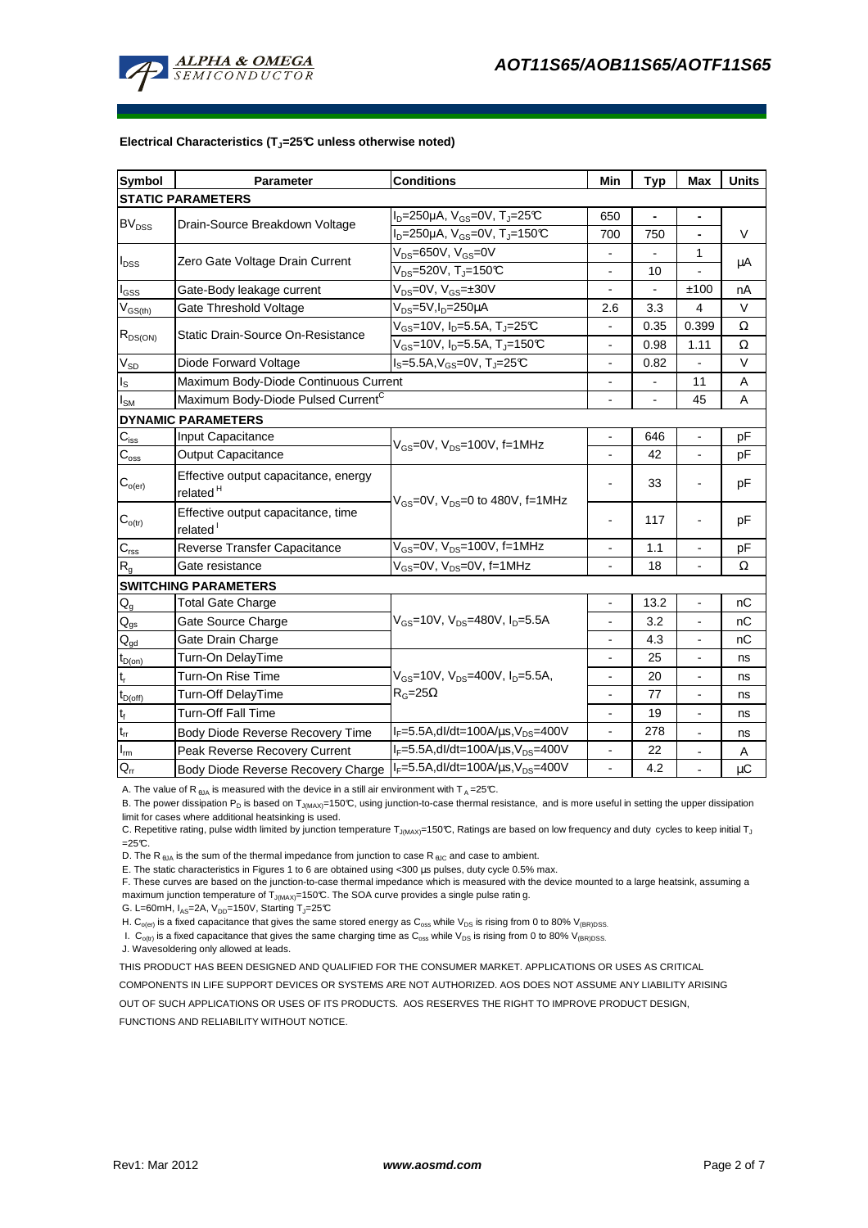

#### **Electrical Characteristics (TJ=25°C unless otherwise noted)**

| <b>Symbol</b>               | Parameter                                                                          | <b>Conditions</b>                                         | Min                      | <b>Typ</b>               | Max                      | <b>Units</b> |  |  |  |  |
|-----------------------------|------------------------------------------------------------------------------------|-----------------------------------------------------------|--------------------------|--------------------------|--------------------------|--------------|--|--|--|--|
| <b>STATIC PARAMETERS</b>    |                                                                                    |                                                           |                          |                          |                          |              |  |  |  |  |
| BV <sub>DSS</sub>           | Drain-Source Breakdown Voltage                                                     | $I_D = 250 \mu A$ , $V_{GS} = 0V$ , $T_J = 25 \text{C}$   | 650                      |                          | $\blacksquare$           |              |  |  |  |  |
|                             |                                                                                    | $I_D = 250 \mu A$ , $V_{GS} = 0V$ , $T_J = 150 \text{°C}$ | 700                      | 750                      | $\blacksquare$           | V            |  |  |  |  |
| $I_{\text{DSS}}$            | Zero Gate Voltage Drain Current                                                    | $V_{DS}$ =650V, $V_{GS}$ =0V                              |                          |                          | 1                        |              |  |  |  |  |
|                             |                                                                                    | $V_{DS}$ =520V, T <sub>J</sub> =150°C                     |                          | 10                       |                          | μA           |  |  |  |  |
| $I_{GSS}$                   | Gate-Body leakage current                                                          | $V_{DS} = 0V$ , $V_{GS} = \pm 30V$                        |                          |                          | ±100                     | nA           |  |  |  |  |
| $V_{GS(th)}$                | Gate Threshold Voltage                                                             | V <sub>DS</sub> =5V,I <sub>D</sub> =250µA                 | 2.6                      | 3.3                      | 4                        | V            |  |  |  |  |
| $R_{DS(ON)}$                | Static Drain-Source On-Resistance                                                  | $V_{GS}$ =10V, I <sub>D</sub> =5.5A, T <sub>J</sub> =25°C |                          | 0.35                     | 0.399                    | Ω            |  |  |  |  |
|                             |                                                                                    | $V_{GS}$ =10V, I <sub>D</sub> =5.5A, T <sub>J</sub> =150℃ |                          | 0.98                     | 1.11                     | Ω            |  |  |  |  |
| $\rm V_{SD}$                | Diode Forward Voltage                                                              | $I_S = 5.5A, V_{GS} = 0V, T_J = 25C$                      |                          | 0.82                     |                          | V            |  |  |  |  |
| $\mathsf{I}_\mathsf{S}$     | Maximum Body-Diode Continuous Current                                              |                                                           | $\blacksquare$           |                          | 11                       | Α            |  |  |  |  |
| $I_{SM}$                    | Maximum Body-Diode Pulsed Current <sup>C</sup>                                     |                                                           |                          | $\overline{\phantom{0}}$ | 45                       | A            |  |  |  |  |
| <b>DYNAMIC PARAMETERS</b>   |                                                                                    |                                                           |                          |                          |                          |              |  |  |  |  |
| $C_{\mathsf{iss}}$          | Input Capacitance                                                                  |                                                           |                          | 646                      |                          | pF           |  |  |  |  |
| $C_{\rm oss}$               | Output Capacitance                                                                 | $V_{GS}$ =0V, $V_{DS}$ =100V, f=1MHz                      |                          | 42                       | $\blacksquare$           | рF           |  |  |  |  |
| $C_{o(er)}$                 | Effective output capacitance, energy<br>related <sup>H</sup>                       |                                                           |                          | 33                       |                          | рF           |  |  |  |  |
| $\mathbf{C}_{o(tr)}$        | Effective output capacitance, time<br>related <sup>1</sup>                         | $V_{GS}$ =0V, $V_{DS}$ =0 to 480V, f=1MHz                 |                          | 117                      |                          | pF           |  |  |  |  |
| $C_{\text{rss}}$            | Reverse Transfer Capacitance                                                       | $V_{GS}$ =0V, $V_{DS}$ =100V, f=1MHz                      | $\blacksquare$           | 1.1                      | $\overline{\phantom{a}}$ | pF           |  |  |  |  |
| $R_{q}$                     | Gate resistance                                                                    | V <sub>GS</sub> =0V, V <sub>DS</sub> =0V, f=1MHz          |                          | 18                       |                          | Ω            |  |  |  |  |
| <b>SWITCHING PARAMETERS</b> |                                                                                    |                                                           |                          |                          |                          |              |  |  |  |  |
| $Q_g$                       | <b>Total Gate Charge</b>                                                           |                                                           |                          | 13.2                     | $\blacksquare$           | nС           |  |  |  |  |
| $\mathsf{Q}_{\text{gs}}$    | Gate Source Charge                                                                 | $V_{GS}$ =10V, $V_{DS}$ =480V, $I_D$ =5.5A                | $\overline{\phantom{a}}$ | 3.2                      | $\overline{\phantom{a}}$ | nС           |  |  |  |  |
| $\mathsf{Q}_{\text{gd}}$    | Gate Drain Charge                                                                  |                                                           |                          | 4.3                      |                          | nC           |  |  |  |  |
| $t_{D(on)}$                 | Turn-On DelayTime                                                                  |                                                           |                          | 25                       |                          | ns           |  |  |  |  |
| $t_r$                       | Turn-On Rise Time                                                                  | $V_{GS}$ =10V, $V_{DS}$ =400V, $I_{D}$ =5.5A,             | $\blacksquare$           | 20                       | $\blacksquare$           | ns           |  |  |  |  |
| $t_{D(off)}$                | Turn-Off DelayTime                                                                 | $R_G = 25\Omega$                                          | $\blacksquare$           | 77                       | $\blacksquare$           | ns           |  |  |  |  |
| $\mathsf{t}_{\mathsf{f}}$   | Turn-Off Fall Time                                                                 |                                                           | $\blacksquare$           | 19                       | $\blacksquare$           | ns           |  |  |  |  |
| $t_{rr}$                    | Body Diode Reverse Recovery Time                                                   | $I_F = 5.5A$ , dl/dt=100A/ $\mu$ s, V <sub>DS</sub> =400V |                          | 278                      |                          | ns           |  |  |  |  |
| $I_{\underline{m}}$         | Peak Reverse Recovery Current                                                      | $I_F = 5.5A$ , dl/dt=100A/ $\mu$ s, V <sub>DS</sub> =400V |                          | 22                       | $\blacksquare$           | Α            |  |  |  |  |
| $Q_{rr}$                    | Body Diode Reverse Recovery Charge   IF=5.5A, dl/dt=100A/us, V <sub>DS</sub> =400V |                                                           |                          | 4.2                      |                          | μC           |  |  |  |  |

A. The value of R  $_{\theta$ JA is measured with the device in a still air environment with T A = 25°C.

B. The power dissipation P<sub>D</sub> is based on T<sub>J(MAX)</sub>=150°C, using junction-to-case thermal resistance, and is more useful in setting the upper dissipation limit for cases where additional heatsinking is used.

C. Repetitive rating, pulse width limited by junction temperature T<sub>J(MAX)</sub>=150°C, Ratings are based on low frequency and duty cycles to keep initial T<sub>J</sub>  $=25C$ .

D. The R  $_{\text{BJA}}$  is the sum of the thermal impedance from junction to case R  $_{\text{BJC}}$  and case to ambient.

E. The static characteristics in Figures 1 to 6 are obtained using <300 µs pulses, duty cycle 0.5% max.

F. These curves are based on the junction-to-case thermal impedance which is measured with the device mounted to a large heatsink, assuming a maximum junction temperature of  $T_{J(MAX)}$ =150°C. The SOA curve provides a single pulse ratin g.

G. L=60mH,  $I_{AS}$ =2A,  $V_{DD}$ =150V, Starting T<sub>J</sub>=25°C

H. C<sub>o(er)</sub> is a fixed capacitance that gives the same stored energy as C<sub>oss</sub> while V<sub>DS</sub> is rising from 0 to 80% V<sub>(BR)DSS</sub>.

I.  $C_{o(t)}$  is a fixed capacitance that gives the same charging time as  $C_{oss}$  while  $V_{DS}$  is rising from 0 to 80%  $V_{(BR)DSS}$ .

J. Wavesoldering only allowed at leads.

THIS PRODUCT HAS BEEN DESIGNED AND QUALIFIED FOR THE CONSUMER MARKET. APPLICATIONS OR USES AS CRITICAL

COMPONENTS IN LIFE SUPPORT DEVICES OR SYSTEMS ARE NOT AUTHORIZED. AOS DOES NOT ASSUME ANY LIABILITY ARISING

OUT OF SUCH APPLICATIONS OR USES OF ITS PRODUCTS. AOS RESERVES THE RIGHT TO IMPROVE PRODUCT DESIGN,

FUNCTIONS AND RELIABILITY WITHOUT NOTICE.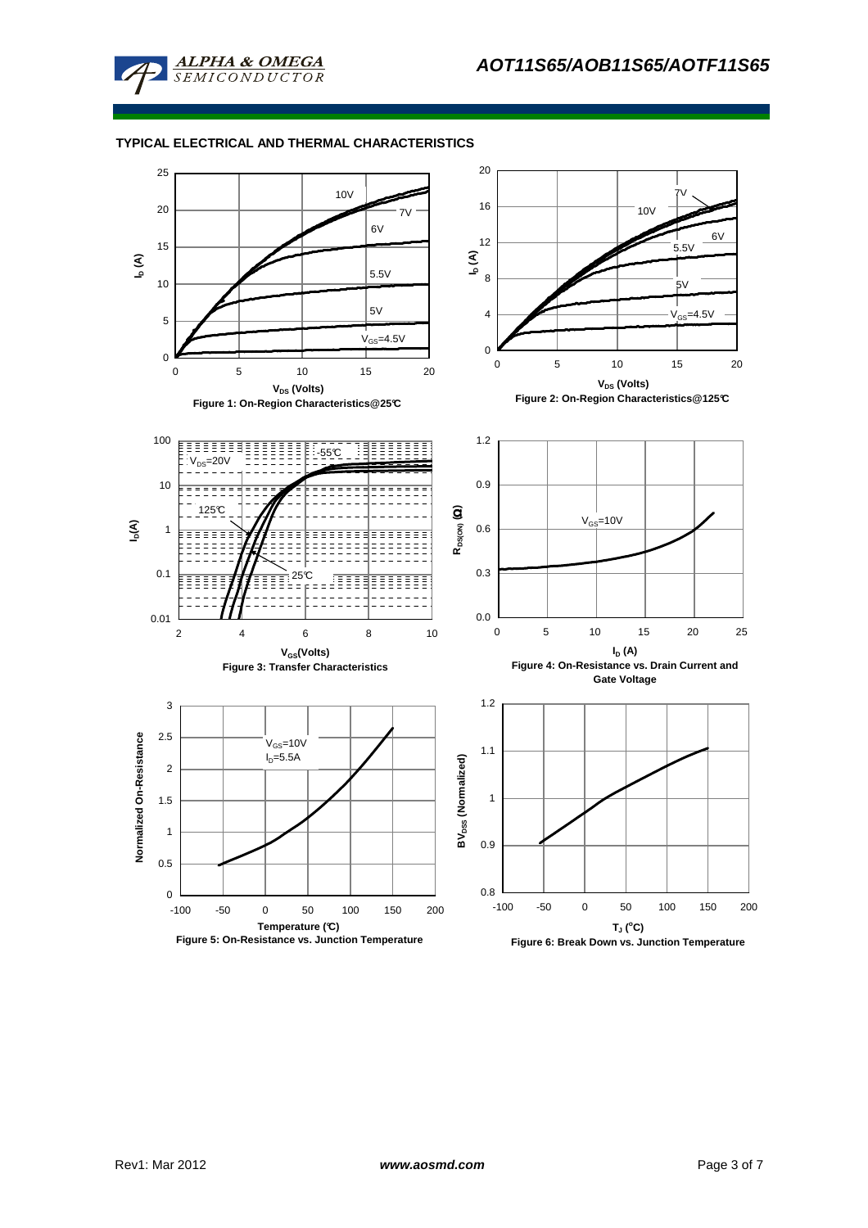

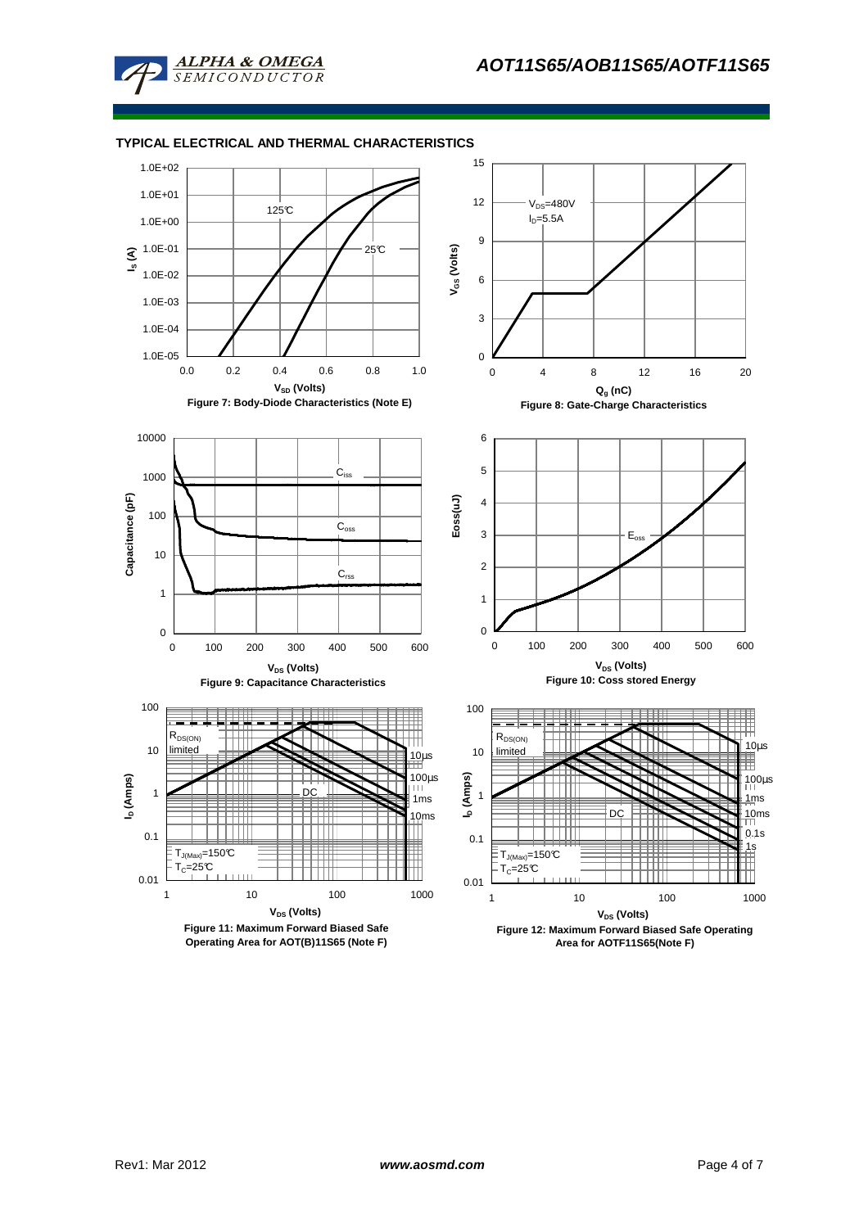

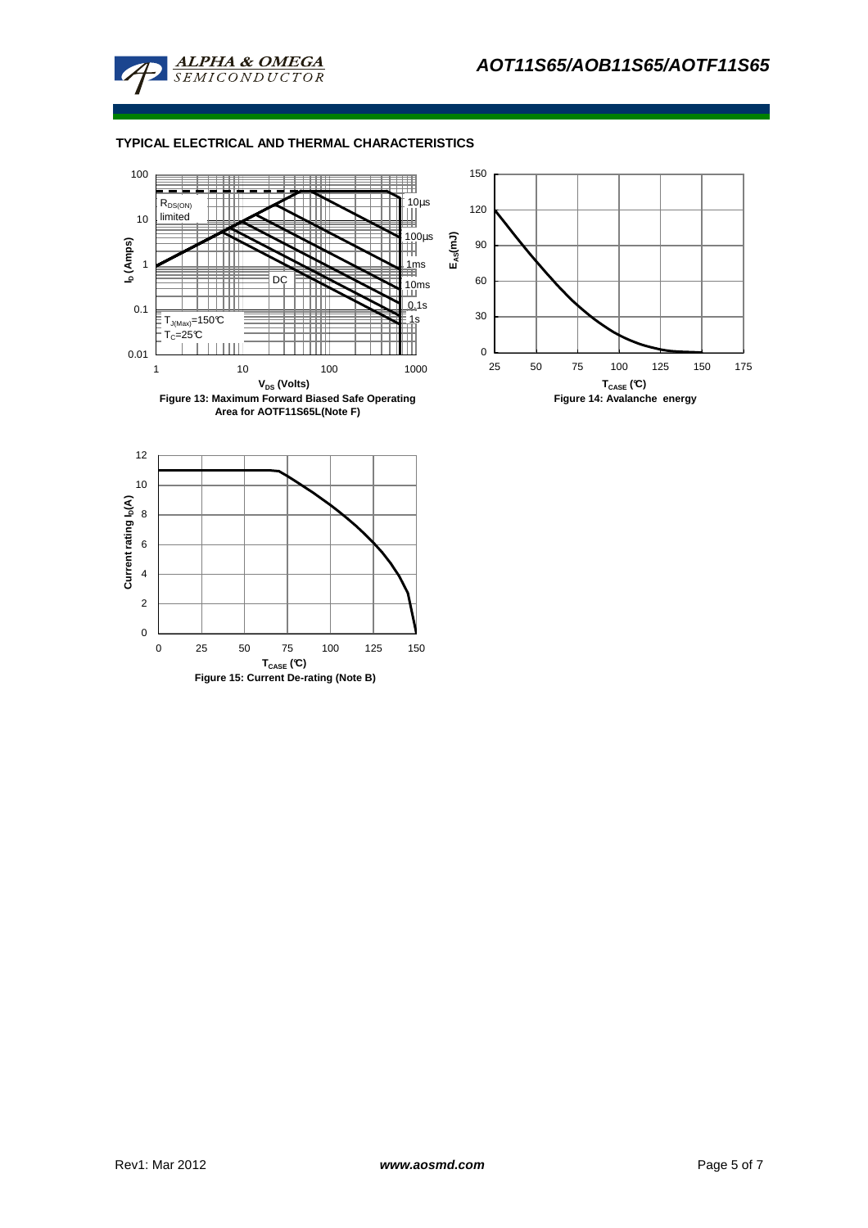



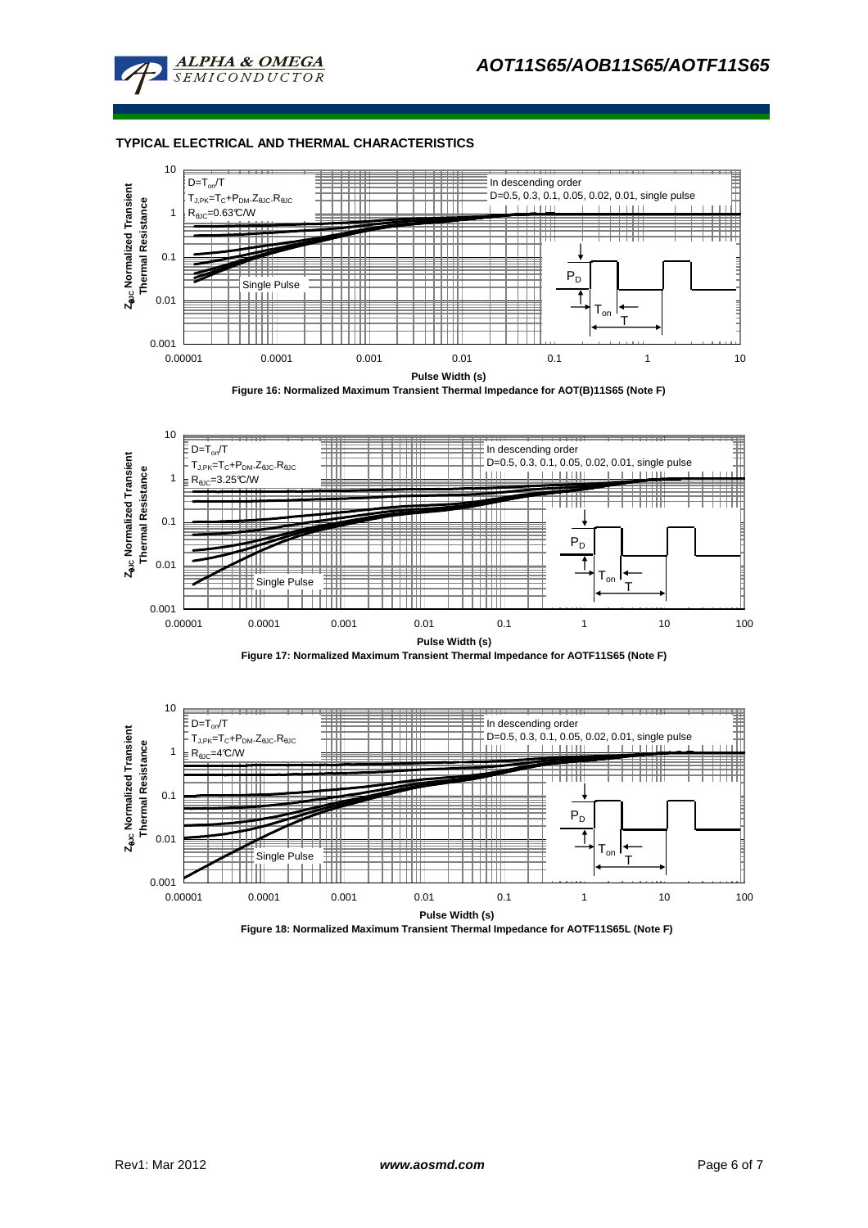



**Figure 16: Normalized Maximum Transient Thermal Impedance for AOT(B)11S65 (Note F)**







**Figure 18: Normalized Maximum Transient Thermal Impedance for AOTF11S65L (Note F)**